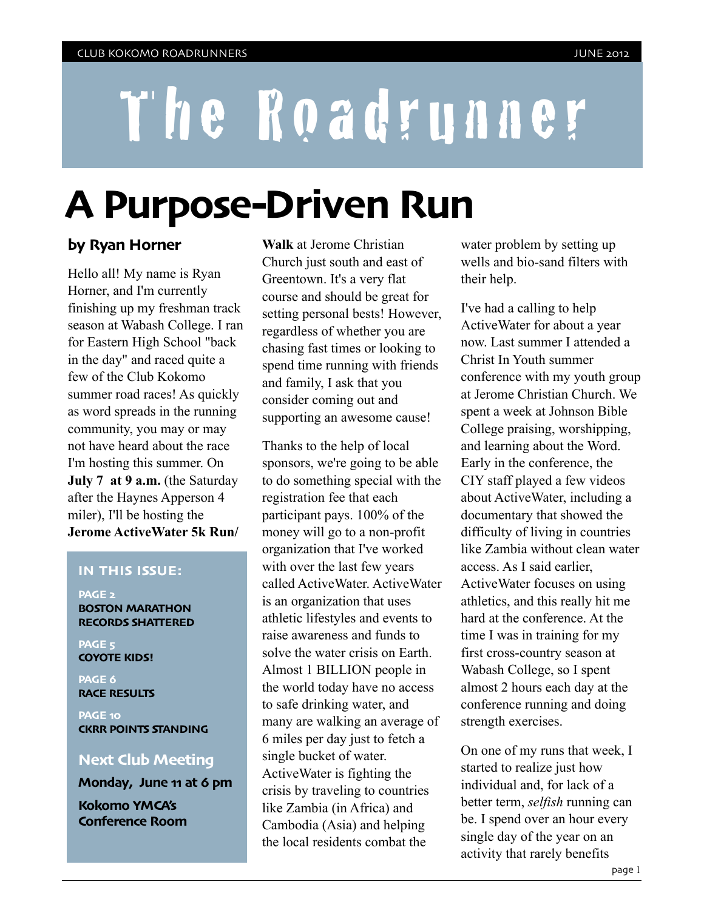# The Roadrunner

# **A Purpose-Driven Run**

#### **by Ryan Horner**

Hello all! My name is Ryan Horner, and I'm currently finishing up my freshman track season at Wabash College. I ran for Eastern High School "back in the day" and raced quite a few of the Club Kokomo summer road races! As quickly as word spreads in the running community, you may or may not have heard about the race I'm hosting this summer. On **July 7 at 9 a.m.** (the Saturday after the Haynes Apperson 4 miler), I'll be hosting the **Jerome ActiveWater 5k Run/**

#### **IN THIS ISSUE:**

**PAGE 2 BOSTON MARATHON RECORDS SHATTERED**

**PAGE 5 COYOTE KIDS!**

**PAGE 6 RACE RESULTS**

**PAGE 10 CKRR POINTS STANDING**

#### **Next Club Meeting**

**Monday, June 11 at 6 pm**

**Kokomo YMCA's Conference Room** **Walk** at Jerome Christian Church just south and east of Greentown. It's a very flat course and should be great for setting personal bests! However, regardless of whether you are chasing fast times or looking to spend time running with friends and family, I ask that you consider coming out and supporting an awesome cause!

Thanks to the help of local sponsors, we're going to be able to do something special with the registration fee that each participant pays. 100% of the money will go to a non-profit organization that I've worked with over the last few years called ActiveWater. ActiveWater is an organization that uses athletic lifestyles and events to raise awareness and funds to solve the water crisis on Earth. Almost 1 BILLION people in the world today have no access to safe drinking water, and many are walking an average of 6 miles per day just to fetch a single bucket of water. ActiveWater is fighting the crisis by traveling to countries like Zambia (in Africa) and Cambodia (Asia) and helping the local residents combat the

water problem by setting up wells and bio-sand filters with their help.

I've had a calling to help ActiveWater for about a year now. Last summer I attended a Christ In Youth summer conference with my youth group at Jerome Christian Church. We spent a week at Johnson Bible College praising, worshipping, and learning about the Word. Early in the conference, the CIY staff played a few videos about ActiveWater, including a documentary that showed the difficulty of living in countries like Zambia without clean water access. As I said earlier, ActiveWater focuses on using athletics, and this really hit me hard at the conference. At the time I was in training for my first cross-country season at Wabash College, so I spent almost 2 hours each day at the conference running and doing strength exercises.

On one of my runs that week, I started to realize just how individual and, for lack of a better term, *selfish* running can be. I spend over an hour every single day of the year on an activity that rarely benefits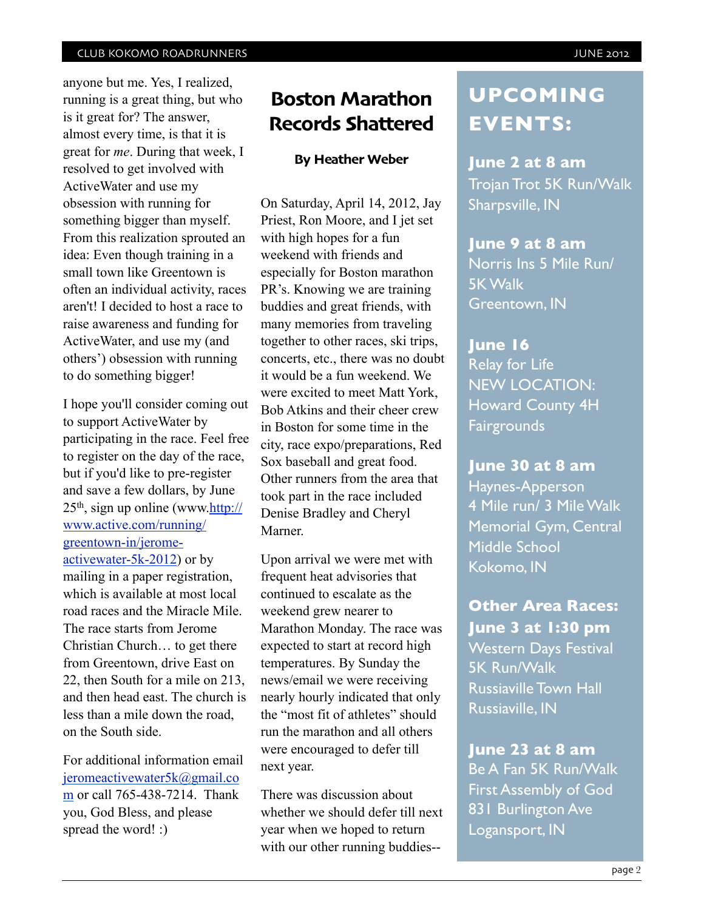anyone but me. Yes, I realized, running is a great thing, but who is it great for? The answer, almost every time, is that it is great for *me*. During that week, I resolved to get involved with ActiveWater and use my obsession with running for something bigger than myself. From this realization sprouted an idea: Even though training in a small town like Greentown is often an individual activity, races aren't! I decided to host a race to raise awareness and funding for ActiveWater, and use my (and others') obsession with running to do something bigger!

I hope you'll consider coming out to support ActiveWater by participating in the race. Feel free to register on the day of the race, but if you'd like to pre-register and save a few dollars, by June  $25<sup>th</sup>$ , sign up online (www[.http://](http://www.active.com/running/greentown-in/jerome-activewater-5k-2012) [www.active.com/running/](http://www.active.com/running/greentown-in/jerome-activewater-5k-2012) [greentown-in/jerome](http://www.active.com/running/greentown-in/jerome-activewater-5k-2012)[activewater-5k-2012\)](http://www.active.com/running/greentown-in/jerome-activewater-5k-2012) or by mailing in a paper registration, which is available at most local road races and the Miracle Mile. The race starts from Jerome Christian Church… to get there from Greentown, drive East on 22, then South for a mile on 213, and then head east. The church is less than a mile down the road, on the South side.

For additional information email [jeromeactivewater5k@gmail.co](mailto:jeromeactivewater5k@gmail.com) [m](mailto:jeromeactivewater5k@gmail.com) or call 765-438-7214. Thank you, God Bless, and please spread the word! :)

## **Boston Marathon Records Shattered**

#### **By Heather Weber**

On Saturday, April 14, 2012, Jay Priest, Ron Moore, and I jet set with high hopes for a fun weekend with friends and especially for Boston marathon PR's. Knowing we are training buddies and great friends, with many memories from traveling together to other races, ski trips, concerts, etc., there was no doubt it would be a fun weekend. We were excited to meet Matt York, Bob Atkins and their cheer crew in Boston for some time in the city, race expo/preparations, Red Sox baseball and great food. Other runners from the area that took part in the race included Denise Bradley and Cheryl Marner.

Upon arrival we were met with frequent heat advisories that continued to escalate as the weekend grew nearer to Marathon Monday. The race was expected to start at record high temperatures. By Sunday the news/email we were receiving nearly hourly indicated that only the "most fit of athletes" should run the marathon and all others were encouraged to defer till next year.

There was discussion about whether we should defer till next year when we hoped to return with our other running buddies--

## **UPCOMING EVENTS:**

**June 2 at 8 am** Trojan Trot 5K Run/Walk Sharpsville, IN

#### **June 9 at 8 am**

Norris Ins 5 Mile Run/ 5K Walk Greentown, IN

#### **June 16**

Relay for Life NEW LOCATION: Howard County 4H **Fairgrounds** 

#### **June 30 at 8 am**

Haynes-Apperson 4 Mile run/ 3 Mile Walk Memorial Gym, Central Middle School Kokomo, IN

**Other Area Races: June 3 at 1:30 pm** Western Days Festival 5K Run/Walk Russiaville Town Hall Russiaville, IN

**June 23 at 8 am** Be A Fan 5K Run/Walk First Assembly of God 831 Burlington Ave Logansport, IN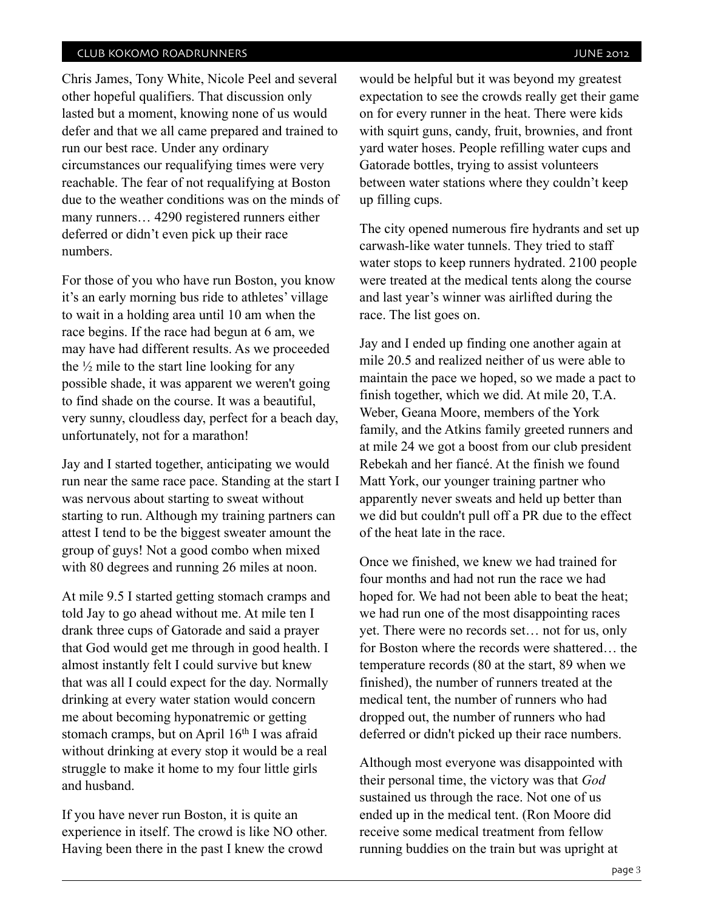Chris James, Tony White, Nicole Peel and several other hopeful qualifiers. That discussion only lasted but a moment, knowing none of us would defer and that we all came prepared and trained to run our best race. Under any ordinary circumstances our requalifying times were very reachable. The fear of not requalifying at Boston due to the weather conditions was on the minds of many runners… 4290 registered runners either deferred or didn't even pick up their race numbers.

For those of you who have run Boston, you know it's an early morning bus ride to athletes' village to wait in a holding area until 10 am when the race begins. If the race had begun at 6 am, we may have had different results. As we proceeded the  $\frac{1}{2}$  mile to the start line looking for any possible shade, it was apparent we weren't going to find shade on the course. It was a beautiful, very sunny, cloudless day, perfect for a beach day, unfortunately, not for a marathon!

Jay and I started together, anticipating we would run near the same race pace. Standing at the start I was nervous about starting to sweat without starting to run. Although my training partners can attest I tend to be the biggest sweater amount the group of guys! Not a good combo when mixed with 80 degrees and running 26 miles at noon.

At mile 9.5 I started getting stomach cramps and told Jay to go ahead without me. At mile ten I drank three cups of Gatorade and said a prayer that God would get me through in good health. I almost instantly felt I could survive but knew that was all I could expect for the day. Normally drinking at every water station would concern me about becoming hyponatremic or getting stomach cramps, but on April 16th I was afraid without drinking at every stop it would be a real struggle to make it home to my four little girls and husband.

If you have never run Boston, it is quite an experience in itself. The crowd is like NO other. Having been there in the past I knew the crowd

would be helpful but it was beyond my greatest expectation to see the crowds really get their game on for every runner in the heat. There were kids with squirt guns, candy, fruit, brownies, and front yard water hoses. People refilling water cups and Gatorade bottles, trying to assist volunteers between water stations where they couldn't keep up filling cups.

The city opened numerous fire hydrants and set up carwash-like water tunnels. They tried to staff water stops to keep runners hydrated. 2100 people were treated at the medical tents along the course and last year's winner was airlifted during the race. The list goes on.

Jay and I ended up finding one another again at mile 20.5 and realized neither of us were able to maintain the pace we hoped, so we made a pact to finish together, which we did. At mile 20, T.A. Weber, Geana Moore, members of the York family, and the Atkins family greeted runners and at mile 24 we got a boost from our club president Rebekah and her fiancé. At the finish we found Matt York, our younger training partner who apparently never sweats and held up better than we did but couldn't pull off a PR due to the effect of the heat late in the race.

Once we finished, we knew we had trained for four months and had not run the race we had hoped for. We had not been able to beat the heat; we had run one of the most disappointing races yet. There were no records set… not for us, only for Boston where the records were shattered… the temperature records (80 at the start, 89 when we finished), the number of runners treated at the medical tent, the number of runners who had dropped out, the number of runners who had deferred or didn't picked up their race numbers.

Although most everyone was disappointed with their personal time, the victory was that *God* sustained us through the race. Not one of us ended up in the medical tent. (Ron Moore did receive some medical treatment from fellow running buddies on the train but was upright at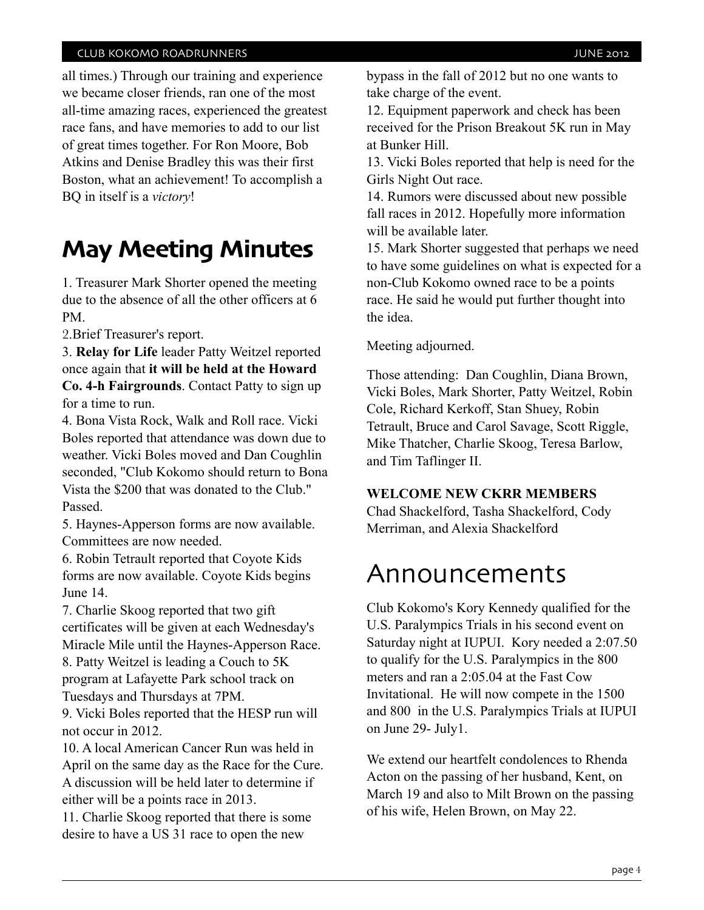all times.) Through our training and experience we became closer friends, ran one of the most all-time amazing races, experienced the greatest race fans, and have memories to add to our list of great times together. For Ron Moore, Bob Atkins and Denise Bradley this was their first Boston, what an achievement! To accomplish a BQ in itself is a *victory*!

## **May Meeting Minutes**

1. Treasurer Mark Shorter opened the meeting due to the absence of all the other officers at 6 PM.

2.Brief Treasurer's report.

3. **Relay for Life** leader Patty Weitzel reported once again that **it will be held at the Howard Co. 4-h Fairgrounds**. Contact Patty to sign up for a time to run.

4. Bona Vista Rock, Walk and Roll race. Vicki Boles reported that attendance was down due to weather. Vicki Boles moved and Dan Coughlin seconded, "Club Kokomo should return to Bona Vista the \$200 that was donated to the Club." Passed.

5. Haynes-Apperson forms are now available. Committees are now needed.

6. Robin Tetrault reported that Coyote Kids forms are now available. Coyote Kids begins June 14.

7. Charlie Skoog reported that two gift certificates will be given at each Wednesday's Miracle Mile until the Haynes-Apperson Race. 8. Patty Weitzel is leading a Couch to 5K program at Lafayette Park school track on Tuesdays and Thursdays at 7PM.

9. Vicki Boles reported that the HESP run will not occur in 2012.

10. A local American Cancer Run was held in April on the same day as the Race for the Cure. A discussion will be held later to determine if either will be a points race in 2013.

11. Charlie Skoog reported that there is some desire to have a US 31 race to open the new

bypass in the fall of 2012 but no one wants to take charge of the event.

12. Equipment paperwork and check has been received for the Prison Breakout 5K run in May at Bunker Hill.

13. Vicki Boles reported that help is need for the Girls Night Out race.

14. Rumors were discussed about new possible fall races in 2012. Hopefully more information will be available later.

15. Mark Shorter suggested that perhaps we need to have some guidelines on what is expected for a non-Club Kokomo owned race to be a points race. He said he would put further thought into the idea.

Meeting adjourned.

Those attending: Dan Coughlin, Diana Brown, Vicki Boles, Mark Shorter, Patty Weitzel, Robin Cole, Richard Kerkoff, Stan Shuey, Robin Tetrault, Bruce and Carol Savage, Scott Riggle, Mike Thatcher, Charlie Skoog, Teresa Barlow, and Tim Taflinger II.

#### **WELCOME NEW CKRR MEMBERS**

Chad Shackelford, Tasha Shackelford, Cody Merriman, and Alexia Shackelford

## Announcements

Club Kokomo's Kory Kennedy qualified for the U.S. Paralympics Trials in his second event on Saturday night at IUPUI. Kory needed a 2:07.50 to qualify for the U.S. Paralympics in the 800 meters and ran a 2:05.04 at the Fast Cow Invitational. He will now compete in the 1500 and 800 in the U.S. Paralympics Trials at IUPUI on June 29- July1.

We extend our heartfelt condolences to Rhenda Acton on the passing of her husband, Kent, on March 19 and also to Milt Brown on the passing of his wife, Helen Brown, on May 22.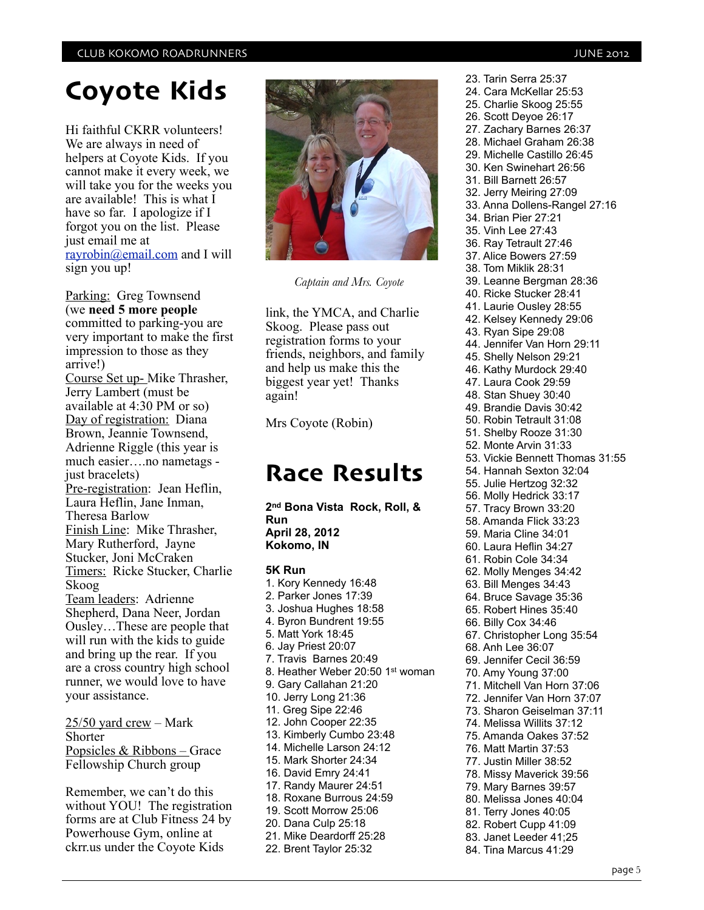## **Coyote Kids**

Hi faithful CKRR volunteers! We are always in need of helpers at Coyote Kids. If you cannot make it every week, we will take you for the weeks you are available! This is what I have so far. I apologize if I forgot you on the list. Please just email me at [rayrobin@email.com](mailto:rayrobin@email.com) and I will sign you up!

Parking: Greg Townsend (we **need 5 more people** committed to parking-you are very important to make the first impression to those as they arrive!) Course Set up- Mike Thrasher, Jerry Lambert (must be available at 4:30 PM or so) Day of registration: Diana Brown, Jeannie Townsend, Adrienne Riggle (this year is much easier….no nametags just bracelets) Pre-registration: Jean Heflin, Laura Heflin, Jane Inman, Theresa Barlow Finish Line: Mike Thrasher, Mary Rutherford, Jayne Stucker, Joni McCraken Timers: Ricke Stucker, Charlie Skoog Team leaders: Adrienne Shepherd, Dana Neer, Jordan Ousley…These are people that will run with the kids to guide and bring up the rear. If you are a cross country high school runner, we would love to have your assistance.

 $25/50$  yard crew – Mark Shorter Popsicles & Ribbons – Grace Fellowship Church group

Remember, we can't do this without YOU! The registration forms are at Club Fitness 24 by Powerhouse Gym, online at ckrr.us under the Coyote Kids



*Captain and Mrs. Coyote*

link, the YMCA, and Charlie Skoog. Please pass out registration forms to your friends, neighbors, and family and help us make this the biggest year yet! Thanks again!

Mrs Coyote (Robin)

## **Race Results**

**2nd Bona Vista Rock, Roll, & Run April 28, 2012 Kokomo, IN**

**5K Run** 1. Kory Kennedy 16:48 2. Parker Jones 17:39 3. Joshua Hughes 18:58 4. Byron Bundrent 19:55 5. Matt York 18:45 6. Jay Priest 20:07 7. Travis Barnes 20:49 8. Heather Weber 20:50 1st woman 9. Gary Callahan 21:20 10. Jerry Long 21:36 11. Greg Sipe 22:46 12. John Cooper 22:35 13. Kimberly Cumbo 23:48 14. Michelle Larson 24:12 15. Mark Shorter 24:34 16. David Emry 24:41 17. Randy Maurer 24:51 18. Roxane Burrous 24:59 19. Scott Morrow 25:06 20. Dana Culp 25:18 21. Mike Deardorff 25:28 22. Brent Taylor 25:32

23. Tarin Serra 25:37 24. Cara McKellar 25:53 25. Charlie Skoog 25:55 26. Scott Deyoe 26:17 27. Zachary Barnes 26:37 28. Michael Graham 26:38 29. Michelle Castillo 26:45 30. Ken Swinehart 26:56 31. Bill Barnett 26:57 32. Jerry Meiring 27:09 33. Anna Dollens-Rangel 27:16 34. Brian Pier 27:21 35. Vinh Lee 27:43 36. Ray Tetrault 27:46 37. Alice Bowers 27:59 38. Tom Miklik 28:31 39. Leanne Bergman 28:36 40. Ricke Stucker 28:41 41. Laurie Ousley 28:55 42. Kelsey Kennedy 29:06 43. Ryan Sipe 29:08 44. Jennifer Van Horn 29:11 45. Shelly Nelson 29:21 46. Kathy Murdock 29:40 47. Laura Cook 29:59 48. Stan Shuey 30:40 49. Brandie Davis 30:42 50. Robin Tetrault 31:08 51. Shelby Rooze 31:30 52. Monte Arvin 31:33 53. Vickie Bennett Thomas 31:55 54. Hannah Sexton 32:04 55. Julie Hertzog 32:32 56. Molly Hedrick 33:17 57. Tracy Brown 33:20 58. Amanda Flick 33:23 59. Maria Cline 34:01 60. Laura Heflin 34:27 61. Robin Cole 34:34 62. Molly Menges 34:42 63. Bill Menges 34:43 64. Bruce Savage 35:36 65. Robert Hines 35:40 66. Billy Cox 34:46 67. Christopher Long 35:54 68. Anh Lee 36:07 69. Jennifer Cecil 36:59 70. Amy Young 37:00 71. Mitchell Van Horn 37:06 72. Jennifer Van Horn 37:07 73. Sharon Geiselman 37:11 74. Melissa Willits 37:12 75. Amanda Oakes 37:52 76. Matt Martin 37:53 77. Justin Miller 38:52 78. Missy Maverick 39:56 79. Mary Barnes 39:57 80. Melissa Jones 40:04 81. Terry Jones 40:05 82. Robert Cupp 41:09 83. Janet Leeder 41;25 84. Tina Marcus 41:29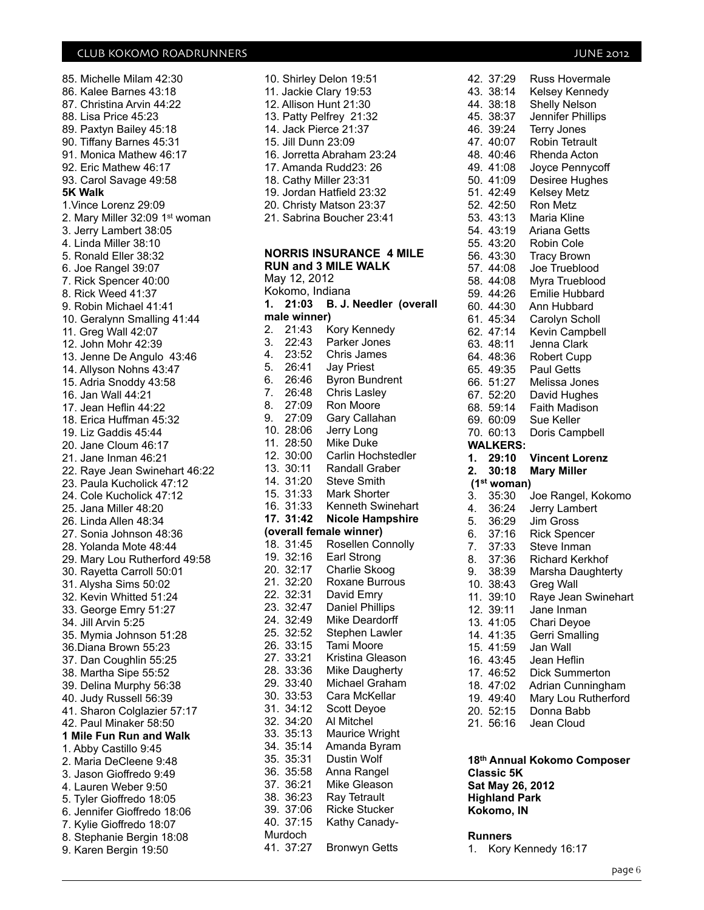85. Michelle Milam 42:30 86. Kalee Barnes 43:18 87. Christina Arvin 44:22 88. Lisa Price 45:23 89. Paxtyn Bailey 45:18 90. Tiffany Barnes 45:31 91. Monica Mathew 46:17 92. Eric Mathew 46:17 93. Carol Savage 49:58 **5K Walk** 1.Vince Lorenz 29:09 2. Mary Miller 32:09 1st woman 3. Jerry Lambert 38:05 4. Linda Miller 38:10 5. Ronald Eller 38:32 6. Joe Rangel 39:07 7. Rick Spencer 40:00 8. Rick Weed 41:37 9. Robin Michael 41:41 10. Geralynn Smalling 41:44 11. Greg Wall 42:07 12. John Mohr 42:39 13. Jenne De Angulo 43:46 14. Allyson Nohns 43:47 15. Adria Snoddy 43:58 16. Jan Wall 44:21 17. Jean Heflin 44:22 18. Erica Huffman 45:32 19. Liz Gaddis 45:44 20. Jane Cloum 46:17 21. Jane Inman 46:21 22. Raye Jean Swinehart 46:22 23. Paula Kucholick 47:12 24. Cole Kucholick 47:12 25. Jana Miller 48:20 26. Linda Allen 48:34 27. Sonia Johnson 48:36 28. Yolanda Mote 48:44 29. Mary Lou Rutherford 49:58 30. Rayetta Carroll 50:01 31. Alysha Sims 50:02 32. Kevin Whitted 51:24 33. George Emry 51:27 34. Jill Arvin 5:25 35. Mymia Johnson 51:28 36.Diana Brown 55:23 37. Dan Coughlin 55:25 38. Martha Sipe 55:52 39. Delina Murphy 56:38 40. Judy Russell 56:39 41. Sharon Colglazier 57:17 42. Paul Minaker 58:50 **1 Mile Fun Run and Walk** 1. Abby Castillo 9:45 2. Maria DeCleene 9:48 3. Jason Gioffredo 9:49 4. Lauren Weber 9:50 5. Tyler Gioffredo 18:05 6. Jennifer Gioffredo 18:06 7. Kylie Gioffredo 18:07 8. Stephanie Bergin 18:08 9. Karen Bergin 19:50

|     |                                  | 10. Shirley Delon 19:51<br>11. Jackie Clary 19:53<br>12. Allison Hunt 21:30<br>13. Patty Pelfrey 21:32<br>14. Jack Pierce 21:37 |
|-----|----------------------------------|---------------------------------------------------------------------------------------------------------------------------------|
|     | 15. Jill Dunn 23:09              |                                                                                                                                 |
|     |                                  | 16. Jorretta Abraham 23:24                                                                                                      |
|     |                                  | 17. Amanda Rudd23: 26                                                                                                           |
|     |                                  | 18. Cathy Miller 23:31<br>19. Jordan Hatfield 23:32                                                                             |
|     |                                  | 20. Christy Matson 23:37                                                                                                        |
|     |                                  | 21. Sabrina Boucher 23:41                                                                                                       |
|     |                                  | <b>NORRIS INSURANCE 4 MILE</b><br><b>RUN and 3 MILE WALK</b>                                                                    |
|     | May 12, 2012                     |                                                                                                                                 |
|     | Kokomo, Indiana                  |                                                                                                                                 |
| 1.  |                                  | 21:03 B. J. Needler (overall                                                                                                    |
|     | male winner)                     |                                                                                                                                 |
|     |                                  | 2. 21:43 Kory Kennedy<br>3. 22:43 Parker Jones                                                                                  |
|     |                                  | 4. 23:52 Chris James                                                                                                            |
|     |                                  | 5. 26:41 Jay Priest                                                                                                             |
|     | 6. 26:46                         | <b>Byron Bundrent</b>                                                                                                           |
|     |                                  | <b>Chris Lasley</b>                                                                                                             |
|     | 7. 26:48<br>8. 27:09<br>9. 27:09 | Ron Moore                                                                                                                       |
|     |                                  | Gary Callahan                                                                                                                   |
|     | 10. 28:06                        | Jerry Long                                                                                                                      |
|     | 11. 28:50                        | Mike Duke                                                                                                                       |
|     | 12. 30:00                        | Carlin Hochstedler                                                                                                              |
|     | 13. 30:11                        | Randall Graber                                                                                                                  |
|     | 14. 31:20<br>15. 31:33           | <b>Steve Smith</b><br>Mark Shorter                                                                                              |
|     | 16. 31:33                        | Kenneth Swinehart                                                                                                               |
|     | 17. 31:42                        | <b>Nicole Hampshire</b>                                                                                                         |
|     |                                  | (overall female winner)                                                                                                         |
|     |                                  | 18. 31:45 Rosellen Connolly                                                                                                     |
|     | 19. 32:16<br>20. 32:17           | Earl Strong                                                                                                                     |
|     |                                  | Charlie Skoog                                                                                                                   |
|     | 21. 32:20                        | Roxane Burrous                                                                                                                  |
|     | 22. 32:31                        | David Emry                                                                                                                      |
|     | 23. 32:47<br>24. 32:49           | Daniel Phillips<br>Mike Deardorff                                                                                               |
|     | 25. 32:52                        | Stephen Lawler                                                                                                                  |
| 26. | 33:15                            | Tami Moore                                                                                                                      |
| 27. | 33:21                            | Kristina Gleason                                                                                                                |
|     | 28. 33:36                        | Mike Daugherty                                                                                                                  |
|     | 29. 33:40                        | Michael Graham                                                                                                                  |
|     | 30. 33:53                        | Cara McKellar                                                                                                                   |
| 31. | 34:12                            | Scott Deyoe                                                                                                                     |
| 32. | 34:20<br>33. 35:13               | Al Mitchel                                                                                                                      |
|     | 34. 35:14                        | Maurice Wright<br>Amanda Byram                                                                                                  |
|     | 35. 35:31                        | Dustin Wolf                                                                                                                     |
|     | 36. 35:58                        | Anna Rangel                                                                                                                     |
|     | 37.36:21                         | Mike Gleason                                                                                                                    |
| 38. | 36:23                            | Ray Tetrault                                                                                                                    |
|     | 39. 37:06                        | <b>Ricke Stucker</b>                                                                                                            |
|     | 40. 37:15                        | Kathy Canady-                                                                                                                   |
|     | Murdoch                          |                                                                                                                                 |
|     | 41. 37:27                        | Bronwyn Getts                                                                                                                   |

|          | 42. 37:29                           | Russ Hovermale              |  |  |  |
|----------|-------------------------------------|-----------------------------|--|--|--|
|          | 43. 38:14<br>44. 38:18              | Kelsey Kennedy              |  |  |  |
|          |                                     | <b>Shelly Nelson</b>        |  |  |  |
|          | 45. 38:37                           | Jennifer Phillips           |  |  |  |
|          | 46. 39:24                           | <b>Terry Jones</b>          |  |  |  |
|          | 47. 40:07                           | <b>Robin Tetrault</b>       |  |  |  |
|          | 48. 40:46                           | Rhenda Acton                |  |  |  |
|          | 49. 41:08                           | Joyce Pennycoff             |  |  |  |
|          | 50. 41:09                           | Desiree Hughes              |  |  |  |
|          | 51. 42:49                           | <b>Kelsey Metz</b>          |  |  |  |
|          | 52. 42:50                           | Ron Metz                    |  |  |  |
|          | 53. 43:13                           | Maria Kline                 |  |  |  |
|          | 54. 43:19                           | Ariana Getts                |  |  |  |
|          | 55. 43:20                           | Robin Cole                  |  |  |  |
|          | 56. 43:30                           | <b>Tracy Brown</b>          |  |  |  |
|          | 57. 44:08                           | Joe Trueblood               |  |  |  |
|          | 58. 44:08                           | Myra Trueblood              |  |  |  |
|          | 59. 44:26                           | Emilie Hubbard              |  |  |  |
|          | 60.44:30                            | Ann Hubbard                 |  |  |  |
|          | 61. 45:34                           | Carolyn Scholl              |  |  |  |
|          | 62. 47:14                           | Kevin Campbell              |  |  |  |
|          |                                     |                             |  |  |  |
|          | 63. 48:11                           | Jenna Clark                 |  |  |  |
|          | 64.48:36                            | <b>Robert Cupp</b>          |  |  |  |
|          | 65.49:35                            | <b>Paul Getts</b>           |  |  |  |
|          | 66. 51:27                           | Melissa Jones               |  |  |  |
|          | 67. 52:20<br>68. 59:14              | David Hughes                |  |  |  |
|          |                                     | Faith Madison               |  |  |  |
|          | 69. 60:09                           | Sue Keller                  |  |  |  |
|          | 70. 60:13                           | Doris Campbell              |  |  |  |
|          | <b>WALKERS:</b>                     |                             |  |  |  |
|          |                                     |                             |  |  |  |
| 1.       | 29:10                               | <b>Vincent Lorenz</b>       |  |  |  |
|          | 2.30:18                             | <b>Mary Miller</b>          |  |  |  |
|          | (1 <sup>st</sup> woman)             |                             |  |  |  |
| 3.       | 35:30                               | Joe Rangel, Kokomo          |  |  |  |
| 4.       | 36:24                               | Jerry Lambert               |  |  |  |
| 5.       | 36:29                               | Jim Gross                   |  |  |  |
| 6.       | 37:16                               | <b>Rick Spencer</b>         |  |  |  |
|          | 37:33                               | Steve Inman                 |  |  |  |
| 7.<br>8. |                                     | Richard Kerkhof             |  |  |  |
| 9.       | 37:36<br>38:39                      | Marsha Daughterty           |  |  |  |
| 10.      | 38:43                               | Greg Wall                   |  |  |  |
|          | 11. 39:10                           | Raye Jean Swinehart         |  |  |  |
|          | 12. 39:11                           | Jane Inman                  |  |  |  |
|          | 13. 41:05                           | Chari Deyoe                 |  |  |  |
|          | 14. 41:35                           | Gerri Smalling              |  |  |  |
|          | 15. 41:59                           | Jan Wall                    |  |  |  |
|          | 16. 43:45                           | Jean Heflin                 |  |  |  |
|          | 17. 46:52                           | <b>Dick Summerton</b>       |  |  |  |
|          |                                     | Adrian Cunningham           |  |  |  |
|          | 18. 47:02                           | Mary Lou Rutherford         |  |  |  |
|          |                                     | Donna Babb                  |  |  |  |
|          | 19. 49:40<br>20. 52:15<br>21. 56:16 | Jean Cloud                  |  |  |  |
|          |                                     |                             |  |  |  |
|          |                                     |                             |  |  |  |
|          | $O(12212)$ FIZ                      | 18th Annual Kokomo Composer |  |  |  |

**Classic 5K Sat May 26, 2012 Highland Park Kokomo, IN**

#### **Runners**

1. Kory Kennedy 16:17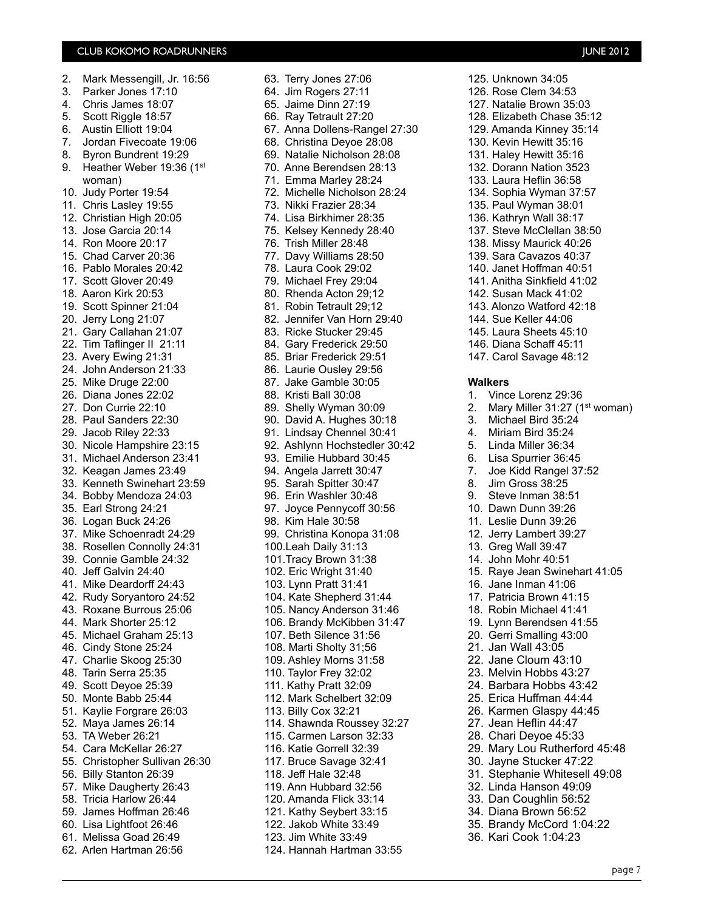| 2.  | Mark Messengill, Jr. 16:56                       |
|-----|--------------------------------------------------|
| 3.  | Parker Jones 17:10                               |
| 4.  | Chris James 18:07                                |
| 5.  | Scott Riggle 18:57                               |
| 6.  | Austin Elliott 19:04                             |
| 7.  | Jordan Fivecoate 19:06                           |
|     |                                                  |
| 8.  | Byron Bundrent 19:29                             |
| 9.  | Heather Weber 19:36 (1st                         |
|     | woman)                                           |
| 10. | Judy Porter 19:54                                |
| 11. | Chris Lasley 19:55                               |
|     | 12. Christian High 20:05                         |
|     | 13. Jose Garcia 20:14                            |
|     | 14. Ron Moore 20:17                              |
|     | 15. Chad Carver 20:36<br>16. Pablo Morales 20:42 |
|     |                                                  |
|     | 17. Scott Glover 20:49                           |
|     | 18. Aaron Kirk 20:53                             |
|     | 19. Scott Spinner 21:04                          |
| 20. | Jerry Long 21:07                                 |
| 21. | Gary Callahan 21:07                              |
| 22. | Tim Taflinger II 21:11                           |
| 23. | Avery Ewing 21:31                                |
| 24. | John Anderson 21:33                              |
|     |                                                  |
|     | 25. Mike Druge 22:00                             |
|     | 26. Diana Jones 22:02                            |
|     | 27. Don Currie 22:10<br>28. Paul Sanders 22:30   |
|     |                                                  |
| 29. | Jacob Riley 22:33                                |
| 30. | Nicole Hampshire 23:15                           |
| 31. | Michael Anderson 23:41                           |
| 32. | Keagan James 23:49                               |
| 33. | Kenneth Swinehart 23:59                          |
| 34. | Bobby Mendoza 24:03                              |
| 35. | Earl Strong 24:21                                |
| 36. | Logan Buck 24:26                                 |
| 37. | Mike Schoenradt 24:29                            |
|     | 38. Rosellen Connolly 24:31                      |
|     |                                                  |
|     | 39. Connie Gamble 24:32<br>40. Jeff Galvin 24:40 |
| 41. | Mike Deardorff 24:43                             |
|     | 42. Rudy Soryantoro 24:52                        |
|     | 43. Roxane Burrous 25:06                         |
|     | 44. Mark Shorter 25:12                           |
|     | 45. Michael Graham 25:13                         |
|     | 46. Cindy Stone 25:24                            |
|     | 47. Charlie Skoog 25:30                          |
|     | 48. Tarin Serra 25:35                            |
| 49. | Scott Deyoe 25:39                                |
| 50. | Monte Babb 25:44                                 |
|     |                                                  |
| 51. | Kaylie Forgrare 26:03                            |
| 52. | Maya James 26:14                                 |
| 53. | TA Weber 26:21                                   |
|     | 54. Cara McKellar 26:27                          |
|     | 55. Christopher Sullivan 26:30                   |
|     | 56. Billy Stanton 26:39                          |
|     | 57. Mike Daugherty 26:43                         |
|     | 58. Tricia Harlow 26:44                          |
|     | 59. James Hoffman 26:46                          |
|     | 60. Lisa Lightfoot 26:46                         |
|     | 61. Melissa Goad 26:49                           |
|     | 62. Arlen Hartman 26:56                          |

64. Jim Rogers 27:11 65. Jaime Dinn 27:19 66. Ray Tetrault 27:20 67. Anna Dollens-Rangel 27:30 68. Christina Deyoe 28:08 69. Natalie Nicholson 28:08 70. Anne Berendsen 28:13 71. Emma Marley 28:24 72. Michelle Nicholson 28:24 73. Nikki Frazier 28:34 74. Lisa Birkhimer 28:35 75. Kelsey Kennedy 28:40 76. Trish Miller 28:48 77. Davy Williams 28:50 78. Laura Cook 29:02 79. Michael Frey 29:04 80. Rhenda Acton 29;12 81. Robin Tetrault 29;12 82. Jennifer Van Horn 29:40 83. Ricke Stucker 29:45 84. Gary Frederick 29:50 85. Briar Frederick 29:51 86. Laurie Ousley 29:56 87. Jake Gamble 30:05 88. Kristi Ball 30:08 89. Shelly Wyman 30:09 90. David A. Hughes 30:18 91. Lindsay Chennel 30:41 92. Ashlynn Hochstedler 30:42 93. Emilie Hubbard 30:45 94. Angela Jarrett 30:47 95. Sarah Spitter 30:47 96. Erin Washler 30:48 97. Joyce Pennycoff 30:56 98. Kim Hale 30:58 99. Christina Konopa 31:08 100.Leah Daily 31:13 101.Tracy Brown 31:38 102. Eric Wright 31:40 103. Lynn Pratt 31:41 104. Kate Shepherd 31:44 105. Nancy Anderson 31:46 106. Brandy McKibben 31:47 107. Beth Silence 31:56 108. Marti Sholty 31;56 109. Ashley Morns 31:58 110. Taylor Frey 32:02 111. Kathy Pratt 32:09 112. Mark Schelbert 32:09 113. Billy Cox 32:21 114. Shawnda Roussey 32:27 115. Carmen Larson 32:33 116. Katie Gorrell 32:39 117. Bruce Savage 32:41 118. Jeff Hale 32:48 119. Ann Hubbard 32:56 120. Amanda Flick 33:14 121. Kathy Seybert 33:15 122. Jakob White 33:49 123. Jim White 33:49 124. Hannah Hartman 33:55

63. Terry Jones 27:06

125. Unknown 34:05 126. Rose Clem 34:53 127. Natalie Brown 35:03 128. Elizabeth Chase 35:12 129. Amanda Kinney 35:14 130. Kevin Hewitt 35:16 131. Haley Hewitt 35:16 132. Dorann Nation 3523 133. Laura Heflin 36:58 134. Sophia Wyman 37:57 135. Paul Wyman 38:01 136. Kathryn Wall 38:17 137. Steve McClellan 38:50 138. Missy Maurick 40:26 139. Sara Cavazos 40:37 140. Janet Hoffman 40:51 141. Anitha Sinkfield 41:02 142. Susan Mack 41:02 143. Alonzo Watford 42:18 144. Sue Keller 44:06 145. Laura Sheets 45:10 146. Diana Schaff 45:11 147. Carol Savage 48:12 **Walkers** 1. Vince Lorenz 29:36 2. Mary Miller 31:27 (1<sup>st</sup> woman) 3. Michael Bird 35:24 4. Miriam Bird 35:24 5. Linda Miller 36:34 6. Lisa Spurrier 36:45 7. Joe Kidd Rangel 37:52 8. Jim Gross 38:25 9. Steve Inman 38:51 10. Dawn Dunn 39:26 11. Leslie Dunn 39:26 12. Jerry Lambert 39:27 13. Greg Wall 39:47 14. John Mohr 40:51 15. Raye Jean Swinehart 41:05 16. Jane Inman 41:06 17. Patricia Brown 41:15 18. Robin Michael 41:41 19. Lynn Berendsen 41:55 20. Gerri Smalling 43:00 21. Jan Wall 43:05 22. Jane Cloum 43:10 23. Melvin Hobbs 43:27 24. Barbara Hobbs 43:42 25. Erica Huffman 44:44 26. Karmen Glaspy 44:45 27. Jean Heflin 44:47 28. Chari Deyoe 45:33 29. Mary Lou Rutherford 45:48 30. Jayne Stucker 47:22 31. Stephanie Whitesell 49:08 32. Linda Hanson 49:09 33. Dan Coughlin 56:52 34. Diana Brown 56:52 35. Brandy McCord 1:04:22

36. Kari Cook 1:04:23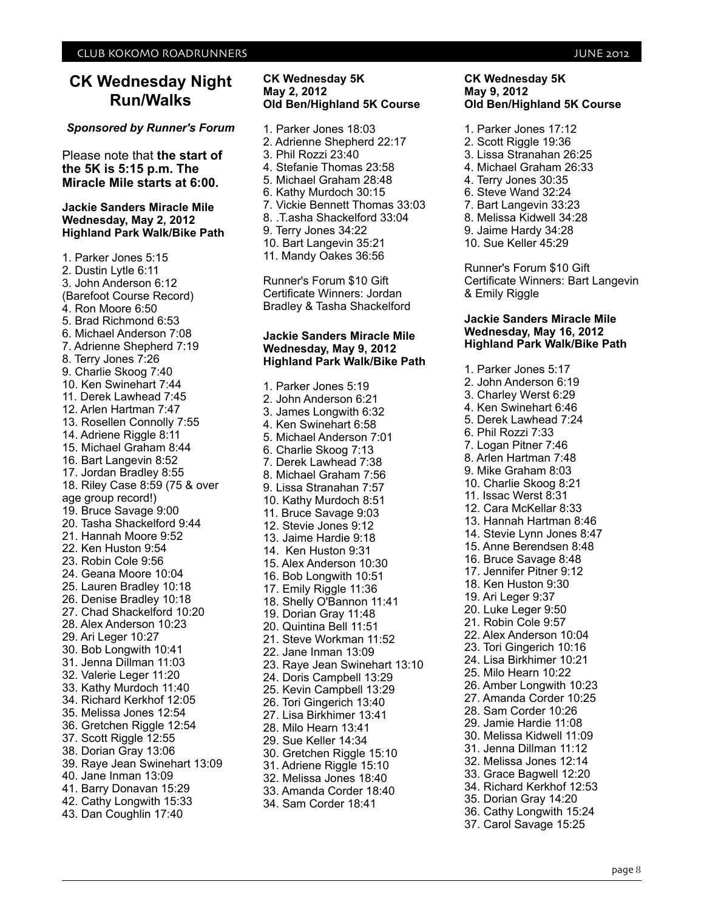## **CK Wednesday Night Run/Walks**

#### *Sponsored by Runner's Forum*

Please note that **the start of the 5K is 5:15 p.m. The Miracle Mile starts at 6:00.**

#### **Jackie Sanders Miracle Mile Wednesday, May 2, 2012 Highland Park Walk/Bike Path**

1. Parker Jones 5:15 2. Dustin Lytle 6:11 3. John Anderson 6:12 (Barefoot Course Record) 4. Ron Moore 6:50 5. Brad Richmond 6:53 6. Michael Anderson 7:08 7. Adrienne Shepherd 7:19 8. Terry Jones 7:26 9. Charlie Skoog 7:40 10. Ken Swinehart 7:44 11. Derek Lawhead 7:45 12. Arlen Hartman 7:47 13. Rosellen Connolly 7:55 14. Adriene Riggle 8:11 15. Michael Graham 8:44 16. Bart Langevin 8:52 17. Jordan Bradley 8:55 18. Riley Case 8:59 (75 & over age group record!) 19. Bruce Savage 9:00 20. Tasha Shackelford 9:44 21. Hannah Moore 9:52 22. Ken Huston 9:54 23. Robin Cole 9:56 24. Geana Moore 10:04 25. Lauren Bradley 10:18 26. Denise Bradley 10:18 27. Chad Shackelford 10:20 28. Alex Anderson 10:23 29. Ari Leger 10:27 30. Bob Longwith 10:41 31. Jenna Dillman 11:03 32. Valerie Leger 11:20 33. Kathy Murdoch 11:40 34. Richard Kerkhof 12:05 35. Melissa Jones 12:54 36. Gretchen Riggle 12:54 37. Scott Riggle 12:55 38. Dorian Gray 13:06 39. Raye Jean Swinehart 13:09 40. Jane Inman 13:09 41. Barry Donavan 15:29 42. Cathy Longwith 15:33 43. Dan Coughlin 17:40

- **CK Wednesday 5K May 2, 2012 Old Ben/Highland 5K Course**
- 1. Parker Jones 18:03 2. Adrienne Shepherd 22:17 3. Phil Rozzi 23:40 4. Stefanie Thomas 23:58 5. Michael Graham 28:48 6. Kathy Murdoch 30:15 7. Vickie Bennett Thomas 33:03 8. .T.asha Shackelford 33:04 9. Terry Jones 34:22 10. Bart Langevin 35:21
- 11. Mandy Oakes 36:56

Runner's Forum \$10 Gift Certificate Winners: Jordan Bradley & Tasha Shackelford

#### **Jackie Sanders Miracle Mile Wednesday, May 9, 2012 Highland Park Walk/Bike Path**

1. Parker Jones 5:19 2. John Anderson 6:21 3. James Longwith 6:32 4. Ken Swinehart 6:58 5. Michael Anderson 7:01 6. Charlie Skoog 7:13 7. Derek Lawhead 7:38 8. Michael Graham 7:56 9. Lissa Stranahan 7:57 10. Kathy Murdoch 8:51 11. Bruce Savage 9:03 12. Stevie Jones 9:12 13. Jaime Hardie 9:18 14. Ken Huston 9:31 15. Alex Anderson 10:30 16. Bob Longwith 10:51 17. Emily Riggle 11:36 18. Shelly O'Bannon 11:41 19. Dorian Gray 11:48 20. Quintina Bell 11:51 21. Steve Workman 11:52 22. Jane Inman 13:09 23. Raye Jean Swinehart 13:10 24. Doris Campbell 13:29 25. Kevin Campbell 13:29 26. Tori Gingerich 13:40 27. Lisa Birkhimer 13:41 28. Milo Hearn 13:41 29. Sue Keller 14:34 30. Gretchen Riggle 15:10 31. Adriene Riggle 15:10 32. Melissa Jones 18:40 33. Amanda Corder 18:40 34. Sam Corder 18:41

#### **CK Wednesday 5K May 9, 2012 Old Ben/Highland 5K Course**

- 1. Parker Jones 17:12
- 2. Scott Riggle 19:36
- 3. Lissa Stranahan 26:25
- 4. Michael Graham 26:33
- 4. Terry Jones 30:35
- 6. Steve Wand 32:24
- 7. Bart Langevin 33:23
- 8. Melissa Kidwell 34:28
- 9. Jaime Hardy 34:28
- 10. Sue Keller 45:29

Runner's Forum \$10 Gift Certificate Winners: Bart Langevin & Emily Riggle

#### **Jackie Sanders Miracle Mile Wednesday, May 16, 2012 Highland Park Walk/Bike Path**

1. Parker Jones 5:17 2. John Anderson 6:19 3. Charley Werst 6:29 4. Ken Swinehart 6:46 5. Derek Lawhead 7:24 6. Phil Rozzi 7:33 7. Logan Pitner 7:46 8. Arlen Hartman 7:48 9. Mike Graham 8:03 10. Charlie Skoog 8:21 11. Issac Werst 8:31 12. Cara McKellar 8:33 13. Hannah Hartman 8:46 14. Stevie Lynn Jones 8:47 15. Anne Berendsen 8:48 16. Bruce Savage 8:48 17. Jennifer Pitner 9:12 18. Ken Huston 9:30 19. Ari Leger 9:37 20. Luke Leger 9:50 21. Robin Cole 9:57 22. Alex Anderson 10:04 23. Tori Gingerich 10:16 24. Lisa Birkhimer 10:21 25. Milo Hearn 10:22 26. Amber Longwith 10:23 27. Amanda Corder 10:25 28. Sam Corder 10:26 29. Jamie Hardie 11:08 30. Melissa Kidwell 11:09 31. Jenna Dillman 11:12 32. Melissa Jones 12:14 33. Grace Bagwell 12:20 34. Richard Kerkhof 12:53 35. Dorian Gray 14:20 36. Cathy Longwith 15:24 37. Carol Savage 15:25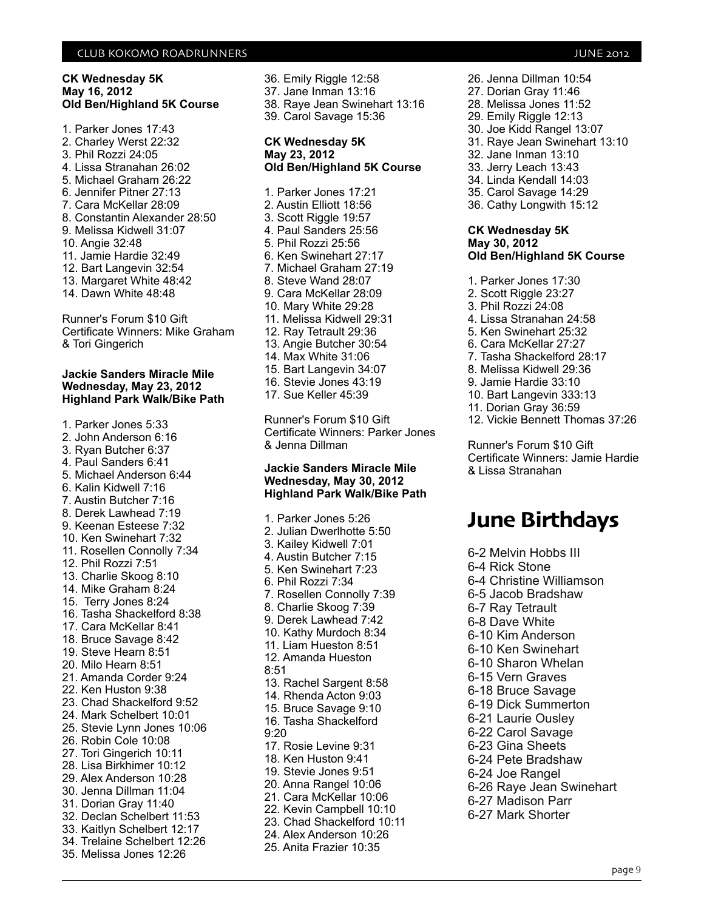#### **CK Wednesday 5K May 16, 2012 Old Ben/Highland 5K Course**

1. Parker Jones 17:43 2. Charley Werst 22:32 3. Phil Rozzi 24:05 4. Lissa Stranahan 26:02 5. Michael Graham 26:22 6. Jennifer Pitner 27:13 7. Cara McKellar 28:09 8. Constantin Alexander 28:50 9. Melissa Kidwell 31:07 10. Angie 32:48 11. Jamie Hardie 32:49 12. Bart Langevin 32:54 13. Margaret White 48:42 14. Dawn White 48:48 Runner's Forum \$10 Gift

Certificate Winners: Mike Graham & Tori Gingerich

#### **Jackie Sanders Miracle Mile Wednesday, May 23, 2012 Highland Park Walk/Bike Path**

1. Parker Jones 5:33 2. John Anderson 6:16 3. Ryan Butcher 6:37 4. Paul Sanders 6:41 5. Michael Anderson 6:44 6. Kalin Kidwell 7:16 7. Austin Butcher 7:16 8. Derek Lawhead 7:19 9. Keenan Esteese 7:32 10. Ken Swinehart 7:32 11. Rosellen Connolly 7:34 12. Phil Rozzi 7:51 13. Charlie Skoog 8:10 14. Mike Graham 8:24 15. Terry Jones 8:24 16. Tasha Shackelford 8:38 17. Cara McKellar 8:41 18. Bruce Savage 8:42 19. Steve Hearn 8:51 20. Milo Hearn 8:51 21. Amanda Corder 9:24 22. Ken Huston 9:38 23. Chad Shackelford 9:52 24. Mark Schelbert 10:01 25. Stevie Lynn Jones 10:06 26. Robin Cole 10:08 27. Tori Gingerich 10:11 28. Lisa Birkhimer 10:12 29. Alex Anderson 10:28 30. Jenna Dillman 11:04 31. Dorian Gray 11:40 32. Declan Schelbert 11:53 33. Kaitlyn Schelbert 12:17 34. Trelaine Schelbert 12:26 35. Melissa Jones 12:26

36. Emily Riggle 12:58 37. Jane Inman 13:16 38. Raye Jean Swinehart 13:16 39. Carol Savage 15:36

#### **CK Wednesday 5K May 23, 2012 Old Ben/Highland 5K Course**

1. Parker Jones 17:21 2. Austin Elliott 18:56 3. Scott Riggle 19:57 4. Paul Sanders 25:56 5. Phil Rozzi 25:56 6. Ken Swinehart 27:17 7. Michael Graham 27:19 8. Steve Wand 28:07 9. Cara McKellar 28:09 10. Mary White 29:28 11. Melissa Kidwell 29:31 12. Ray Tetrault 29:36 13. Angie Butcher 30:54 14. Max White 31:06 15. Bart Langevin 34:07 16. Stevie Jones 43:19 17. Sue Keller 45:39

Runner's Forum \$10 Gift Certificate Winners: Parker Jones & Jenna Dillman

#### **Jackie Sanders Miracle Mile Wednesday, May 30, 2012 Highland Park Walk/Bike Path**

1. Parker Jones 5:26 2. Julian Dwerlhotte 5:50 3. Kailey Kidwell 7:01 4. Austin Butcher 7:15 5. Ken Swinehart 7:23 6. Phil Rozzi 7:34 7. Rosellen Connolly 7:39 8. Charlie Skoog 7:39 9. Derek Lawhead 7:42 10. Kathy Murdoch 8:34 11. Liam Hueston 8:51 12. Amanda Hueston 8:51 13. Rachel Sargent 8:58 14. Rhenda Acton 9:03 15. Bruce Savage 9:10 16. Tasha Shackelford 9:20 17. Rosie Levine 9:31 18. Ken Huston 9:41 19. Stevie Jones 9:51 20. Anna Rangel 10:06 21. Cara McKellar 10:06 22. Kevin Campbell 10:10 23. Chad Shackelford 10:11 24. Alex Anderson 10:26 25. Anita Frazier 10:35

26. Jenna Dillman 10:54 27. Dorian Gray 11:46 28. Melissa Jones 11:52 29. Emily Riggle 12:13 30. Joe Kidd Rangel 13:07 31. Raye Jean Swinehart 13:10 32. Jane Inman 13:10 33. Jerry Leach 13:43 34. Linda Kendall 14:03 35. Carol Savage 14:29 36. Cathy Longwith 15:12

#### **CK Wednesday 5K May 30, 2012 Old Ben/Highland 5K Course**

1. Parker Jones 17:30 2. Scott Riggle 23:27 3. Phil Rozzi 24:08 4. Lissa Stranahan 24:58 5. Ken Swinehart 25:32 6. Cara McKellar 27:27 7. Tasha Shackelford 28:17 8. Melissa Kidwell 29:36 9. Jamie Hardie 33:10 10. Bart Langevin 333:13 11. Dorian Gray 36:59 12. Vickie Bennett Thomas 37:26 Runner's Forum \$10 Gift

Certificate Winners: Jamie Hardie & Lissa Stranahan

## **June Birthdays**

6-2 Melvin Hobbs III 6-4 Rick Stone 6-4 Christine Williamson 6-5 Jacob Bradshaw 6-7 Ray Tetrault 6-8 Dave White 6-10 Kim Anderson 6-10 Ken Swinehart 6-10 Sharon Whelan 6-15 Vern Graves 6-18 Bruce Savage 6-19 Dick Summerton 6-21 Laurie Ousley 6-22 Carol Savage 6-23 Gina Sheets 6-24 Pete Bradshaw 6-24 Joe Rangel 6-26 Raye Jean Swinehart 6-27 Madison Parr 6-27 Mark Shorter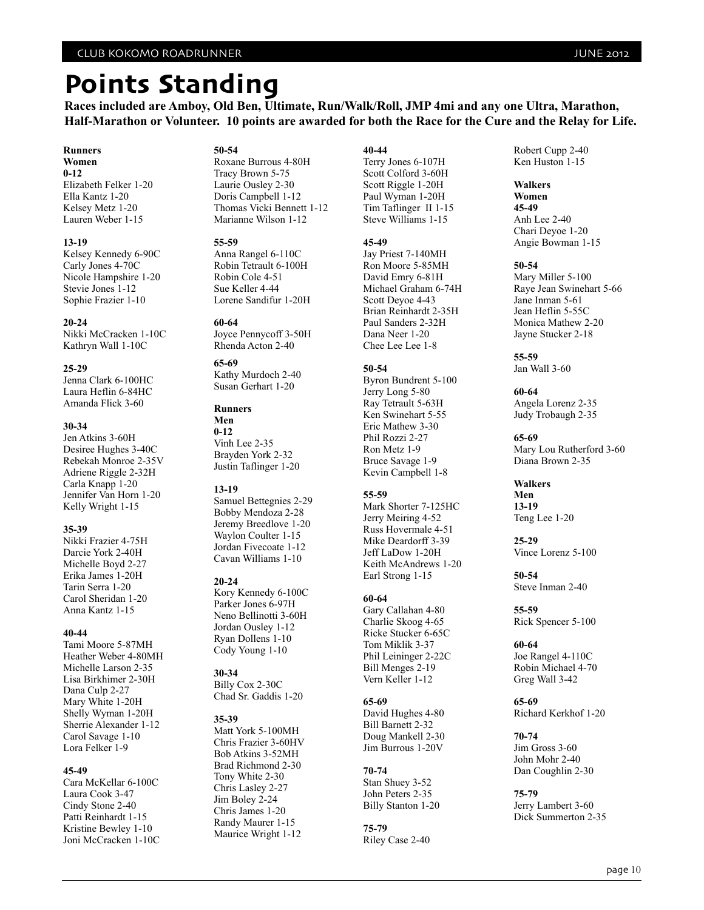## **Points Standing**

**Races included are Amboy, Old Ben, Ultimate, Run/Walk/Roll, JMP 4mi and any one Ultra, Marathon, Half-Marathon or Volunteer. 10 points are awarded for both the Race for the Cure and the Relay for Life.**

#### **Runners**

**Women 0-12** Elizabeth Felker 1-20 Ella Kantz 1-20 Kelsey Metz 1-20 Lauren Weber 1-15

#### **13-19**

Kelsey Kennedy 6-90C Carly Jones 4-70C Nicole Hampshire 1-20 Stevie Jones 1-12 Sophie Frazier 1-10

**20-24** Nikki McCracken 1-10C Kathryn Wall 1-10C

#### **25-29**

Jenna Clark 6-100HC Laura Heflin 6-84HC Amanda Flick 3-60

#### **30-34**

Jen Atkins 3-60H Desiree Hughes 3-40C Rebekah Monroe 2-35V Adriene Riggle 2-32H Carla Knapp 1-20 Jennifer Van Horn 1-20 Kelly Wright 1-15

#### **35-39**

Nikki Frazier 4-75H Darcie York 2-40H Michelle Boyd 2-27 Erika James 1-20H Tarin Serra 1-20 Carol Sheridan 1-20 Anna Kantz 1-15

#### **40-44**

Tami Moore 5-87MH Heather Weber 4-80MH Michelle Larson 2-35 Lisa Birkhimer 2-30H Dana Culp 2-27 Mary White 1-20H Shelly Wyman 1-20H Sherrie Alexander 1-12 Carol Savage 1-10 Lora Felker 1-9

#### **45-49**

Cara McKellar 6-100C Laura Cook 3-47 Cindy Stone 2-40 Patti Reinhardt 1-15 Kristine Bewley 1-10 Joni McCracken 1-10C

#### **50-54**

Roxane Burrous 4-80H Tracy Brown 5-75 Laurie Ousley 2-30 Doris Campbell 1-12 Thomas Vicki Bennett 1-12 Marianne Wilson 1-12

#### **55-59**

Anna Rangel 6-110C Robin Tetrault 6-100H Robin Cole 4-51 Sue Keller 4-44 Lorene Sandifur 1-20H

#### **60-64**

Joyce Pennycoff 3-50H Rhenda Acton 2-40

#### **65-69**

Kathy Murdoch 2-40 Susan Gerhart 1-20

#### **Runners**

**Men 0-12** Vinh Lee 2-35 Brayden York 2-32 Justin Taflinger 1-20

#### **13-19**

Samuel Bettegnies 2-29 Bobby Mendoza 2-28 Jeremy Breedlove 1-20 Waylon Coulter 1-15 Jordan Fivecoate 1-12 Cavan Williams 1-10

#### **20-24**

Kory Kennedy 6-100C Parker Jones 6-97H Neno Bellinotti 3-60H Jordan Ousley 1-12 Ryan Dollens 1-10 Cody Young 1-10

#### **30-34**

Billy Cox 2-30C Chad Sr. Gaddis 1-20

#### **35-39**

Matt York 5-100MH Chris Frazier 3-60HV Bob Atkins 3-52MH Brad Richmond 2-30 Tony White 2-30 Chris Lasley 2-27 Jim Boley 2-24 Chris James 1-20 Randy Maurer 1-15 Maurice Wright 1-12

#### **40-44**

Terry Jones 6-107H Scott Colford 3-60H Scott Riggle 1-20H Paul Wyman 1-20H Tim Taflinger II 1-15 Steve Williams 1-15

#### **45-49**

Jay Priest 7-140MH Ron Moore 5-85MH David Emry 6-81H Michael Graham 6-74H Scott Deyoe 4-43 Brian Reinhardt 2-35H Paul Sanders 2-32H Dana Neer 1-20 Chee Lee Lee 1-8

#### **50-54**

Byron Bundrent 5-100 Jerry Long 5-80 Ray Tetrault 5-63H Ken Swinehart 5-55 Eric Mathew 3-30 Phil Rozzi 2-27 Ron Metz 1-9 Bruce Savage 1-9 Kevin Campbell 1-8

#### **55-59**

Mark Shorter 7-125HC Jerry Meiring 4-52 Russ Hovermale 4-51 Mike Deardorff 3-39 Jeff LaDow 1-20H Keith McAndrews 1-20 Earl Strong 1-15

#### **60-64**

Gary Callahan 4-80 Charlie Skoog 4-65 Ricke Stucker 6-65C Tom Miklik 3-37 Phil Leininger 2-22C Bill Menges 2-19 Vern Keller 1-12

#### **65-69**

David Hughes 4-80 Bill Barnett 2-32 Doug Mankell 2-30 Jim Burrous 1-20V

#### **70-74**

Stan Shuey 3-52 John Peters 2-35 Billy Stanton 1-20

**75-79** Riley Case 2-40 Robert Cupp 2-40 Ken Huston 1-15

#### **Walkers Women 45-49**

Anh Lee 2-40 Chari Deyoe 1-20 Angie Bowman 1-15

#### **50-54**

Mary Miller 5-100 Raye Jean Swinehart 5-66 Jane Inman 5-61 Jean Heflin 5-55C Monica Mathew 2-20 Jayne Stucker 2-18

**55-59** Jan Wall 3-60

#### **60-64**

Angela Lorenz 2-35 Judy Trobaugh 2-35

**65-69** Mary Lou Rutherford 3-60 Diana Brown 2-35

#### **Walkers Men**

**13-19** Teng Lee 1-20

**25-29** Vince Lorenz 5-100

**50-54** Steve Inman 2-40

**55-59** Rick Spencer 5-100

**60-64** Joe Rangel 4-110C Robin Michael 4-70 Greg Wall 3-42

**65-69** Richard Kerkhof 1-20

**70-74** Jim Gross 3-60 John Mohr 2-40 Dan Coughlin 2-30

**75-79** Jerry Lambert 3-60 Dick Summerton 2-35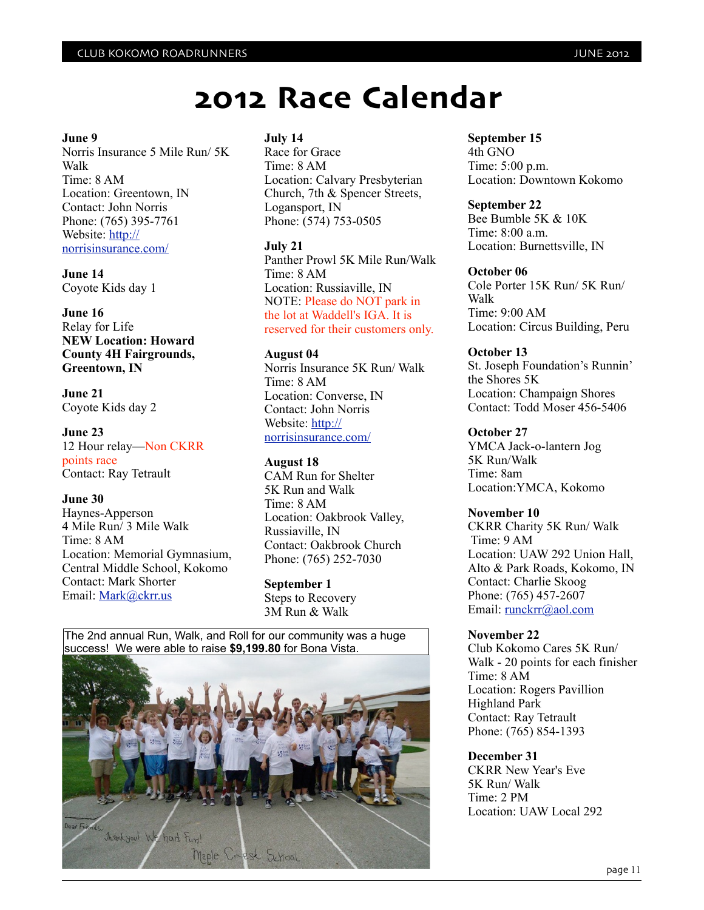#### **June 9**

Norris Insurance 5 Mile Run/ 5K Walk Time: 8 AM Location: Greentown, IN Contact: John Norris Phone: (765) 395-7761 Website: [http://](http://norrisinsurance.com/) [norrisinsurance.com/](http://norrisinsurance.com/)

**June 14** Coyote Kids day 1

**June 16** Relay for Life **NEW Location: Howard County 4H Fairgrounds, Greentown, IN**

**June 21** Coyote Kids day 2

**June 23** 12 Hour relay—Non CKRR points race Contact: Ray Tetrault

#### **June 30**

Haynes-Apperson 4 Mile Run/ 3 Mile Walk Time: 8 AM Location: Memorial Gymnasium, Central Middle School, Kokomo Contact: Mark Shorter Email: [Mark@ckrr.us](mailto:Mark@ckrr.us)

#### **July 14**

Race for Grace Time: 8 AM Location: Calvary Presbyterian Church, 7th & Spencer Streets, Logansport, IN Phone: (574) 753-0505

#### **July 21**

Panther Prowl 5K Mile Run/Walk Time: 8 AM Location: Russiaville, IN NOTE: Please do NOT park in the lot at Waddell's IGA. It is reserved for their customers only.

#### **August 04**

Norris Insurance 5K Run/ Walk Time: 8 AM Location: Converse, IN Contact: John Norris Website: [http://](http://norrisinsurance.com/) [norrisinsurance.com/](http://norrisinsurance.com/)

#### **August 18**

CAM Run for Shelter 5K Run and Walk Time: 8 AM Location: Oakbrook Valley, Russiaville, IN Contact: Oakbrook Church Phone: (765) 252-7030

**September 1** Steps to Recovery 3M Run & Walk

The 2nd annual Run, Walk, and Roll for our community was a huge success! We were able to raise **\$9,199.80** for Bona Vista.



#### **September 15**

4th GNO Time: 5:00 p.m. Location: Downtown Kokomo

#### **September 22**

Bee Bumble 5K & 10K Time: 8:00 a.m. Location: Burnettsville, IN

#### **October 06**

Cole Porter 15K Run/ 5K Run/ Walk Time: 9:00 AM Location: Circus Building, Peru

#### **October 13**

St. Joseph Foundation's Runnin' the Shores 5K Location: Champaign Shores Contact: Todd Moser 456-5406

#### **October 27**

YMCA Jack-o-lantern Jog 5K Run/Walk Time: 8am Location:YMCA, Kokomo

#### **November 10**

CKRR Charity 5K Run/ Walk Time: 9 AM Location: UAW 292 Union Hall, Alto & Park Roads, Kokomo, IN Contact: Charlie Skoog Phone: (765) 457-2607 Email: [runckrr@aol.com](mailto:runckrr@aol.com)

#### **November 22**

Club Kokomo Cares 5K Run/ Walk - 20 points for each finisher Time: 8 AM Location: Rogers Pavillion Highland Park Contact: Ray Tetrault Phone: (765) 854-1393

#### **December 31**

CKRR New Year's Eve 5K Run/ Walk Time: 2 PM Location: UAW Local 292